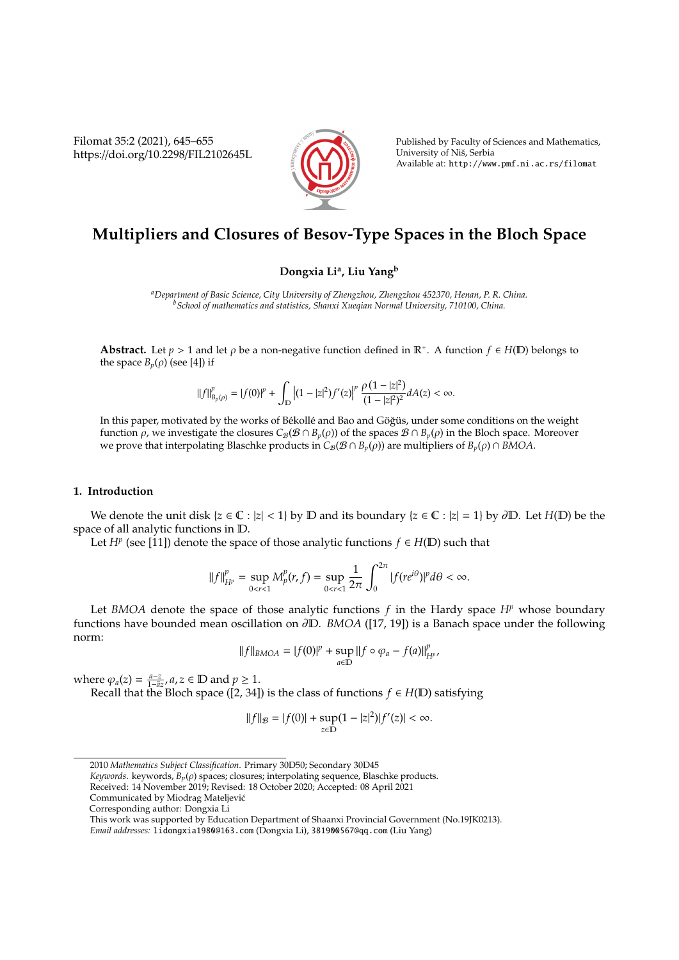Filomat 35:2 (2021), 645–655 https://doi.org/10.2298/FIL2102645L



Published by Faculty of Sciences and Mathematics, University of Niš, Serbia Available at: http://www.pmf.ni.ac.rs/filomat

# **Multipliers and Closures of Besov-Type Spaces in the Bloch Space**

## **Dongxia Li<sup>a</sup> , Liu Yang<sup>b</sup>**

*<sup>a</sup>Department of Basic Science, City University of Zhengzhou, Zhengzhou 452370, Henan, P. R. China. <sup>b</sup>School of mathematics and statistics, Shanxi Xueqian Normal University, 710100, China.*

**Abstract.** Let  $p > 1$  and let  $\rho$  be a non-negative function defined in  $\mathbb{R}^+$ . A function  $f \in H(\mathbb{D})$  belongs to the space  $B_p(\rho)$  (see [4]) if

$$
\|f\|_{B_p(\rho)}^p = |f(0)|^p + \int_{\mathbb{D}} \left|(1-|z|^2)f'(z)\right|^p \frac{\rho \left(1-|z|^2\right)}{(1-|z|^2)^2} dA(z) < \infty.
$$

In this paper, motivated by the works of Békollé and Bao and Göğüs, under some conditions on the weight function *ρ*, we investigate the closures  $C_B(B \cap B_p(\rho))$  of the spaces  $B \cap B_p(\rho)$  in the Bloch space. Moreover we prove that interpolating Blaschke products in  $C_{\mathcal{B}}(\mathcal{B} \cap B_p(\rho))$  are multipliers of  $B_p(\rho) \cap BMOA$ .

### **1. Introduction**

We denote the unit disk  $\{z \in \mathbb{C} : |z| < 1\}$  by  $\mathbb D$  and its boundary  $\{z \in \mathbb{C} : |z| = 1\}$  by  $\partial \mathbb D$ . Let  $H(\mathbb D)$  be the space of all analytic functions in D.

Let *H<sup>p</sup>* (see [11]) denote the space of those analytic functions  $f \in H(\mathbb{D})$  such that

$$
||f||_{H^p}^p = \sup_{0 < r < 1} M_p^p(r, f) = \sup_{0 < r < 1} \frac{1}{2\pi} \int_0^{2\pi} |f(re^{i\theta})|^p d\theta < \infty.
$$

Let *BMOA* denote the space of those analytic functions  $f$  in the Hardy space  $H^p$  whose boundary functions have bounded mean oscillation on ∂D. *BMOA* ([17, 19]) is a Banach space under the following norm:

$$
||f||_{BMOA} = |f(0)|^p + \sup_{a \in D} ||f \circ \varphi_a - f(a)||_{H^p}^p,
$$

where  $\varphi_a(z) = \frac{a-z}{1-\overline{a}z}, a, z \in \mathbb{D}$  and  $p \ge 1$ .

Recall that the Bloch space ([2, 34]) is the class of functions  $f \in H(\mathbb{D})$  satisfying

$$
||f||_{\mathcal{B}} = |f(0)| + \sup_{z \in \mathbb{D}} (1 - |z|^2)|f'(z)| < \infty.
$$

*Keywords*. keywords, *Bp*(ρ) spaces; closures; interpolating sequence, Blaschke products.

Received: 14 November 2019; Revised: 18 October 2020; Accepted: 08 April 2021

Communicated by Miodrag Mateljevic´

<sup>2010</sup> *Mathematics Subject Classification*. Primary 30D50; Secondary 30D45

Corresponding author: Dongxia Li

This work was supported by Education Department of Shaanxi Provincial Government (No.19JK0213).

*Email addresses:* lidongxia1980@163.com (Dongxia Li), 381900567@qq.com (Liu Yang)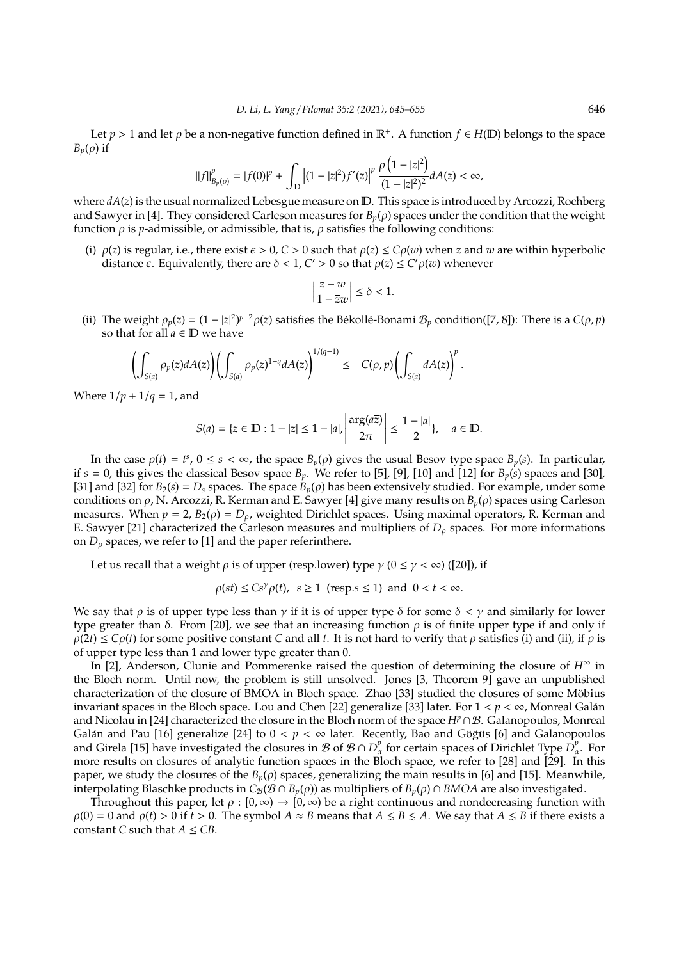Let  $p > 1$  and let  $\rho$  be a non-negative function defined in  $\mathbb{R}^+$ . A function  $f \in H(\mathbb{D})$  belongs to the space  $B_p(\rho)$  if

$$
\|f\|_{B_p(\rho)}^p = |f(0)|^p + \int_{\mathbb{D}} \left|(1-|z|^2)f'(z)\right|^p \frac{\rho\left(1-|z|^2\right)}{(1-|z|^2)^2} dA(z) < \infty,
$$

where  $dA(z)$  is the usual normalized Lebesgue measure on D. This space is introduced by Arcozzi, Rochberg and Sawyer in [4]. They considered Carleson measures for  $B_p(\rho)$  spaces under the condition that the weight function  $\rho$  is *p*-admissible, or admissible, that is,  $\rho$  satisfies the following conditions:

(i)  $\rho(z)$  is regular, i.e., there exist  $\epsilon > 0$ ,  $C > 0$  such that  $\rho(z) \le C\rho(w)$  when *z* and *w* are within hyperbolic distance  $\epsilon$ . Equivalently, there are  $\delta < 1$ ,  $C' > 0$  so that  $\rho(z) \le C' \rho(w)$  whenever

$$
\left|\frac{z-w}{1-\overline{z}w}\right| \le \delta < 1.
$$

(ii) The weight  $\rho_p(z) = (1 - |z|^2)^{p-2} \rho(z)$  satisfies the Békollé-Bonami  $\mathcal{B}_p$  condition([7, 8]): There is a  $C(\rho, p)$ so that for all  $a \in D$  we have

$$
\left(\int_{S(a)}\rho_p(z)dA(z)\right)\left(\int_{S(a)}\rho_p(z)^{1-q}dA(z)\right)^{1/(q-1)}\leq\quad C(\rho,p)\left(\int_{S(a)}dA(z)\right)^p.
$$

Where  $1/p + 1/q = 1$ , and

$$
S(a) = \{z \in \mathbb{D} : 1 - |z| \le 1 - |a|, \left| \frac{\arg(a\overline{z})}{2\pi} \right| \le \frac{1 - |a|}{2}, \quad a \in \mathbb{D}.
$$

In the case  $\rho(t) = t^s$ ,  $0 \le s < \infty$ , the space  $B_p(\rho)$  gives the usual Besov type space  $B_p(s)$ . In particular, if  $s = 0$ , this gives the classical Besov space  $B_p$ . We refer to [5], [9], [10] and [12] for  $B_p(s)$  spaces and [30], [31] and [32] for  $B_2(s) = D_s$  spaces. The space  $B_p(\rho)$  has been extensively studied. For example, under some conditions on ρ, N. Arcozzi, R. Kerman and E. Sawyer [4] give many results on *Bp*(ρ) spaces using Carleson measures. When  $p = 2$ ,  $B_2(\rho) = D_\rho$ , weighted Dirichlet spaces. Using maximal operators, R. Kerman and E. Sawyer [21] characterized the Carleson measures and multipliers of  $D_\rho$  spaces. For more informations on  $D_{\rho}$  spaces, we refer to [1] and the paper referinthere.

Let us recall that a weight  $\rho$  is of upper (resp.lower) type  $\gamma$  ( $0 \le \gamma < \infty$ ) ([20]), if

$$
\rho(st) \le Cs^{\gamma}\rho(t), \ s \ge 1 \text{ (resp. } s \le 1 \text{) and } 0 < t < \infty.
$$

We say that  $\rho$  is of upper type less than  $\gamma$  if it is of upper type  $\delta$  for some  $\delta < \gamma$  and similarly for lower type greater than δ. From [20], we see that an increasing function  $ρ$  is of finite upper type if and only if  $\rho(2t) \leq C\rho(t)$  for some positive constant *C* and all *t*. It is not hard to verify that  $\rho$  satisfies (i) and (ii), if  $\rho$  is of upper type less than 1 and lower type greater than 0.

In [2], Anderson, Clunie and Pommerenke raised the question of determining the closure of  $H^{\infty}$  in the Bloch norm. Until now, the problem is still unsolved. Jones [3, Theorem 9] gave an unpublished characterization of the closure of BMOA in Bloch space. Zhao [33] studied the closures of some Mobius ¨ invariant spaces in the Bloch space. Lou and Chen [22] generalize [33] later. For  $1 < p < \infty$ , Monreal Galán and Nicolau in [24] characterized the closure in the Bloch norm of the space *H<sup>p</sup>*∩B. Galanopoulos, Monreal Galán and Pau [16] generalize [24] to  $0 < p < \infty$  later. Recently, Bao and Göğüs [6] and Galanopoulos and Girela [15] have investigated the closures in  $B$  of  $B \cap D^p_\alpha$  for certain spaces of Dirichlet Type  $D^p_\alpha$ . For more results on closures of analytic function spaces in the Bloch space, we refer to [28] and [29]. In this paper, we study the closures of the  $B_p(\rho)$  spaces, generalizing the main results in [6] and [15]. Meanwhile, interpolating Blaschke products in  $C_B(\mathcal{B} \cap B_p(\rho))$  as multipliers of  $B_p(\rho) \cap BMOA$  are also investigated.

Throughout this paper, let  $\rho : [0, \infty) \to [0, \infty)$  be a right continuous and nondecreasing function with  $\rho(0) = 0$  and  $\rho(t) > 0$  if  $\hat{t} > 0$ . The symbol  $A \approx B$  means that  $A \leq B \leq A$ . We say that  $A \leq B$  if there exists a constant *C* such that  $A \leq CB$ .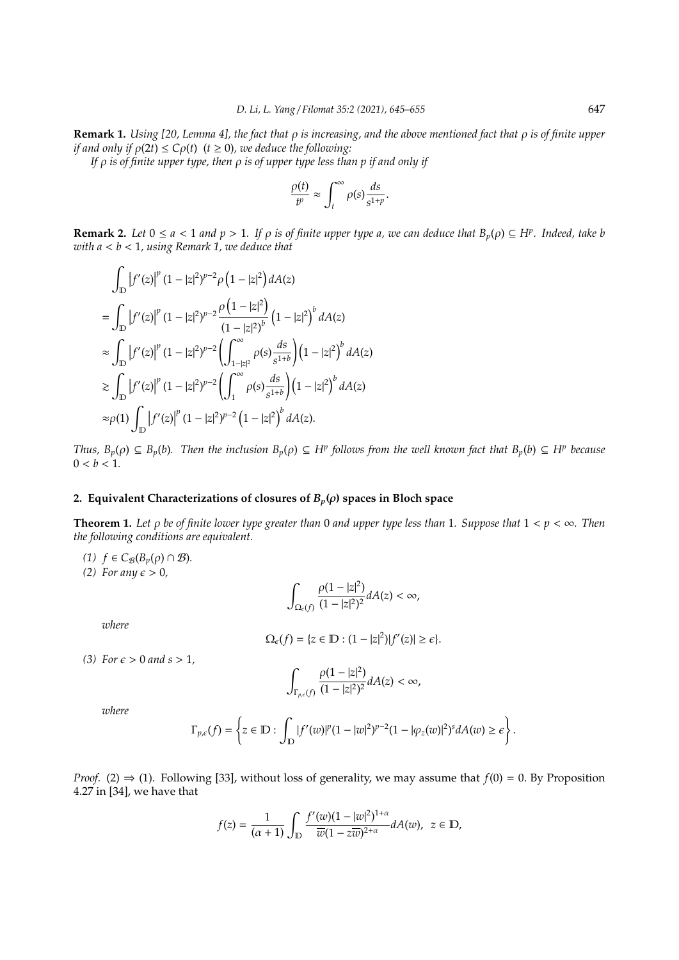**Remark 1.** *Using [20, Lemma 4], the fact that* ρ *is increasing, and the above mentioned fact that* ρ *is of finite upper if and only if*  $\rho(2t) \leq C\rho(t)$  ( $t \geq 0$ ), we deduce the following:

*If* ρ *is of finite upper type, then* ρ *is of upper type less than p if and only if*

$$
\frac{\rho(t)}{t^p} \approx \int_t^\infty \rho(s) \frac{ds}{s^{1+p}}.
$$

**Remark 2.** Let  $0 \le a < 1$  and  $p > 1$ . If  $\rho$  is of finite upper type a, we can deduce that  $B_p(\rho) \subseteq H^p$ . Indeed, take b *with a* < *b* < 1*, using Remark 1, we deduce that*

$$
\int_{\mathbb{D}} |f'(z)|^{p} (1 - |z|^{2})^{p-2} \rho (1 - |z|^{2}) dA(z)
$$
\n
$$
= \int_{\mathbb{D}} |f'(z)|^{p} (1 - |z|^{2})^{p-2} \frac{\rho (1 - |z|^{2})}{(1 - |z|^{2})^{b}} (1 - |z|^{2})^{b} dA(z)
$$
\n
$$
\approx \int_{\mathbb{D}} |f'(z)|^{p} (1 - |z|^{2})^{p-2} \left( \int_{1 - |z|^{2}}^{\infty} \rho(s) \frac{ds}{s^{1+b}} \right) (1 - |z|^{2})^{b} dA(z)
$$
\n
$$
\approx \int_{\mathbb{D}} |f'(z)|^{p} (1 - |z|^{2})^{p-2} \left( \int_{1}^{\infty} \rho(s) \frac{ds}{s^{1+b}} \right) (1 - |z|^{2})^{b} dA(z)
$$
\n
$$
\approx \rho(1) \int_{\mathbb{D}} |f'(z)|^{p} (1 - |z|^{2})^{p-2} (1 - |z|^{2})^{b} dA(z).
$$

*Thus,*  $B_p(\rho) \subseteq B_p(b)$ . Then the inclusion  $B_p(\rho) \subseteq H^p$  follows from the well known fact that  $B_p(b) \subseteq H^p$  because  $0 < b < 1$ .

## **2. Equivalent Characterizations of closures of**  $B_p(\rho)$  **spaces in Bloch space**

Z

 $\Omega_\epsilon(f)$ 

**Theorem 1.** *Let* ρ *be of finite lower type greater than* 0 *and upper type less than* 1*. Suppose that* 1 < *p* < ∞*. Then the following conditions are equivalent.*

 $\rho(1-|z|^2)$ 

*(1) f* ∈  $C_{\mathcal{B}}(B_p(\rho) \cap \mathcal{B})$ *.* 

*(2)* For any  $\epsilon > 0$ ,

$$
\Omega_{\epsilon}(f) = \{z \in \mathbb{D} : (1 - |z|^2)|f'(z)| \geq \epsilon\}.
$$

 $\frac{\rho(x-|z|)}{(1-|z|^2)^2}$ dA(*z*) < ∞,

(3) For  $\epsilon > 0$  and  $s > 1$ ,

$$
\int_{\Gamma_{p,\varepsilon}(f)}\frac{\rho(1-|z|^2)}{(1-|z|^2)^2}dA(z)<\infty,
$$

*where*

*where*

$$
\Gamma_{p,\epsilon}(f)=\left\{z\in\mathbb{D}:\int_{\mathbb{D}}|f'(w)|^{p}(1-|w|^{2})^{p-2}(1-|\varphi_{z}(w)|^{2})^{s}dA(w)\geq\epsilon\right\}.
$$

*Proof.* (2)  $\Rightarrow$  (1). Following [33], without loss of generality, we may assume that  $f(0) = 0$ . By Proposition 4.27 in [34], we have that

$$
f(z)=\frac{1}{(\alpha+1)}\int_{\mathbb{D}}\frac{f'(w)(1-|w|^2)^{1+\alpha}}{\overline{w}(1-z\overline{w})^{2+\alpha}}dA(w),\ \ z\in\mathbb{D},
$$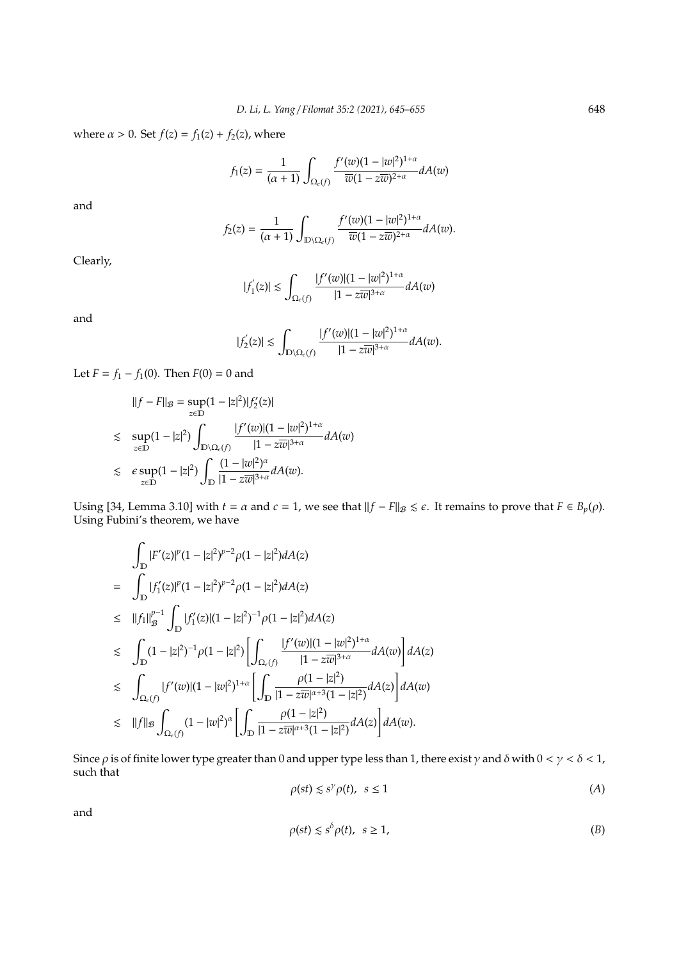where  $\alpha > 0$ . Set  $f(z) = f_1(z) + f_2(z)$ , where

$$
f_1(z) = \frac{1}{(\alpha+1)} \int_{\Omega_e(f)} \frac{f'(w)(1-|w|^2)^{1+\alpha}}{\overline{w}(1-z\overline{w})^{2+\alpha}} dA(w)
$$

and

$$
f_2(z)=\frac{1}{(\alpha+1)}\int_{\mathbb{D}\backslash\Omega_\epsilon(f)}\frac{f'(w)(1-|w|^2)^{1+\alpha}}{\overline{w}(1-z\overline{w})^{2+\alpha}}dA(w).
$$

Clearly,

$$
|f^{'}_1(z)|\lesssim \int_{\Omega_\epsilon(f)}\frac{|f'(w)|(1-|w|^2)^{1+\alpha}}{|1-z\overline{w}|^{3+\alpha}}dA(w)
$$

and

$$
|f_2^{'}(z)|\lesssim \int_{\mathbb{D}\backslash \Omega_\epsilon(f)}\frac{|f'(w)|(1-|w|^2)^{1+\alpha}}{|1-z\overline{w}|^{3+\alpha}}dA(w).
$$

Let  $F = f_1 - f_1(0)$ . Then  $F(0) = 0$  and

$$
||f - F||_{\mathcal{B}} = \sup_{z \in \mathbb{D}} (1 - |z|^2) |f'_2(z)|
$$
  
\n
$$
\sup_{z \in \mathbb{D}} (1 - |z|^2) \int_{\mathbb{D} \setminus \Omega_{\epsilon}(f)} \frac{|f'(w)|(1 - |w|^2)^{1+\alpha}}{|1 - z\overline{w}|^{3+\alpha}} dA(w)
$$
  
\n
$$
\sup_{z \in \mathbb{D}} (1 - |z|^2) \int_{\mathbb{D}} \frac{(1 - |w|^2)^{\alpha}}{|1 - z\overline{w}|^{3+\alpha}} dA(w).
$$

Using [34, Lemma 3.10] with  $t = \alpha$  and  $c = 1$ , we see that  $||f - F||_{\mathcal{B}} \le \epsilon$ . It remains to prove that  $F \in B_p(\rho)$ . Using Fubini's theorem, we have

$$
\begin{split}\n&= \int_{\mathbb{D}} |F'(z)|^{p} (1-|z|^{2})^{p-2} \rho (1-|z|^{2}) dA(z) \\
&= \int_{\mathbb{D}} |f'_{1}(z)|^{p} (1-|z|^{2})^{p-2} \rho (1-|z|^{2}) dA(z) \\
&\leq \|f_{1}\|_{\mathcal{B}}^{p-1} \int_{\mathbb{D}} |f'_{1}(z)| (1-|z|^{2})^{-1} \rho (1-|z|^{2}) dA(z) \\
&\leq \int_{\mathbb{D}} (1-|z|^{2})^{-1} \rho (1-|z|^{2}) \left[ \int_{\Omega_{\epsilon}(f)} \frac{|f'(w)| (1-|w|^{2})^{1+\alpha}}{|1-z\overline{w}|^{3+\alpha}} dA(w) \right] dA(z) \\
&\leq \int_{\Omega_{\epsilon}(f)} |f'(w)| (1-|w|^{2})^{1+\alpha} \left[ \int_{\mathbb{D}} \frac{\rho (1-|z|^{2})}{|1-z\overline{w}|^{\alpha+3} (1-|z|^{2})} dA(z) \right] dA(w) \\
&\leq \|f\|_{\mathcal{B}} \int_{\Omega_{\epsilon}(f)} (1-|w|^{2})^{\alpha} \left[ \int_{\mathbb{D}} \frac{\rho (1-|z|^{2})}{|1-z\overline{w}|^{\alpha+3} (1-|z|^{2})} dA(z) \right] dA(w).\n\end{split}
$$

Since  $\rho$  is of finite lower type greater than 0 and upper type less than 1, there exist  $\gamma$  and  $\delta$  with  $0 < \gamma < \delta < 1$ , such that

$$
\rho(st) \le s^\gamma \rho(t), \ \ s \le 1 \tag{A}
$$

and

$$
\rho(st) \le s^\delta \rho(t), \ \ s \ge 1,\tag{B}
$$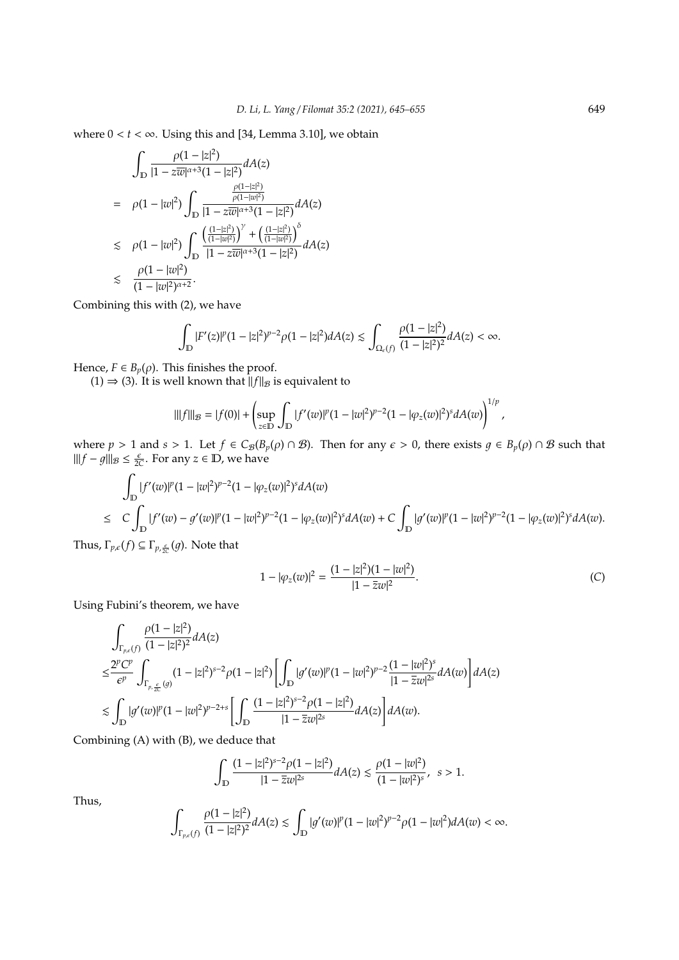where  $0 < t < \infty$ . Using this and [34, Lemma 3.10], we obtain

$$
\int_{\mathbb{D}} \frac{\rho(1-|z|^2)}{|1-z\overline{w}|^{\alpha+3}(1-|z|^2)} dA(z)
$$
\n
$$
= \rho(1-|w|^2) \int_{\mathbb{D}} \frac{\frac{\rho(1-|z|^2)}{|1-z\overline{w}|^{\alpha+3}(1-|z|^2)}}{|1-z\overline{w}|^{\alpha+3}(1-|z|^2)} dA(z)
$$
\n
$$
\lesssim \rho(1-|w|^2) \int_{\mathbb{D}} \frac{\left(\frac{(1-|z|^2)}{(1-|w|^2)}\right)^\gamma + \left(\frac{(1-|z|^2)}{(1-|w|^2)}\right)^\delta}{|1-z\overline{w}|^{\alpha+3}(1-|z|^2)} dA(z)
$$
\n
$$
\lesssim \frac{\rho(1-|w|^2)}{(1-|w|^2)^{\alpha+2}}.
$$

Combining this with (2), we have

$$
\int_{\mathbb{D}}|F'(z)|^{p}(1-|z|^{2})^{p-2}\rho(1-|z|^{2})dA(z)\lesssim\int_{\Omega_{\epsilon}(f)}\frac{\rho(1-|z|^{2})}{(1-|z|^{2})^{2}}dA(z)<\infty.
$$

Hence,  $F \in B_p(\rho)$ . This finishes the proof.

 $(1) \Rightarrow (3)$ . It is well known that  $\frac{f}{\|f\|_{\mathcal{B}}}$  is equivalent to

$$
\| |f| \|_{\mathcal B} = |f(0)| + \left( \sup_{z \in \mathbb{D}} \int_{\mathbb{D}} |f'(w)|^p (1-|w|^2)^{p-2} (1-|\varphi_z(w)|^2)^s dA(w) \right)^{1/p},
$$

where  $p > 1$  and  $s > 1$ . Let  $f \in C_{\mathcal{B}}(B_p(\rho) \cap \mathcal{B})$ . Then for any  $\epsilon > 0$ , there exists  $g \in B_p(\rho) \cap \mathcal{B}$  such that  $|||f - g|||_B \le \frac{\varepsilon}{2C}$ . For any *z* ∈ **D**, we have

$$
\int_{\mathbb{D}} |f'(w)|^{p} (1 - |w|^{2})^{p-2} (1 - |\varphi_{z}(w)|^{2})^{s} dA(w)
$$
\n
$$
\leq C \int_{\mathbb{D}} |f'(w) - g'(w)|^{p} (1 - |w|^{2})^{p-2} (1 - |\varphi_{z}(w)|^{2})^{s} dA(w) + C \int_{\mathbb{D}} |g'(w)|^{p} (1 - |w|^{2})^{p-2} (1 - |\varphi_{z}(w)|^{2})^{s} dA(w).
$$

Thus,  $\Gamma_{p,\epsilon}(f) \subseteq \Gamma_{p,\frac{\epsilon}{2C}}(g)$ . Note that

$$
1 - |\varphi_z(w)|^2 = \frac{(1 - |z|^2)(1 - |w|^2)}{|1 - \overline{z}w|^2}.
$$
 (C)

Using Fubini's theorem, we have

$$
\begin{split} & \int_{\Gamma_{p,\varepsilon}(f)} \frac{\rho(1-|z|^2)}{(1-|z|^2)^2} dA(z) \\ \leq & \frac{2^pC^p}{\varepsilon^p} \int_{\Gamma_{p,\frac{\varepsilon}{2c}}(g)} (1-|z|^2)^{s-2} \rho(1-|z|^2) \left[ \int_{\mathbb{D}} |g'(w)|^p (1-|w|^2)^{p-2} \frac{(1-|w|^2)^s}{|1-\overline{z}w|^{2s}} dA(w) \right] dA(z) \\ \lesssim & \int_{\mathbb{D}} |g'(w)|^p (1-|w|^2)^{p-2+s} \left[ \int_{\mathbb{D}} \frac{(1-|z|^2)^{s-2} \rho(1-|z|^2)}{|1-\overline{z}w|^{2s}} dA(z) \right] dA(w). \end{split}
$$

Combining (A) with (B), we deduce that

$$
\int_{\mathbb{D}}\frac{(1-|z|^2)^{s-2}\rho(1-|z|^2)}{|1-\overline{z}w|^{2s}}dA(z)\lesssim \frac{\rho(1-|w|^2)}{(1-|w|^2)^s},\;\;s>1.
$$

Thus,

$$
\int_{\Gamma_{p,\varepsilon}(f)}\frac{\rho(1-|z|^2)}{(1-|z|^2)^2}dA(z)\lesssim \int_{\mathbb{D}}|g'(w)|^p(1-|w|^2)^{p-2}\rho(1-|w|^2)dA(w)<\infty.
$$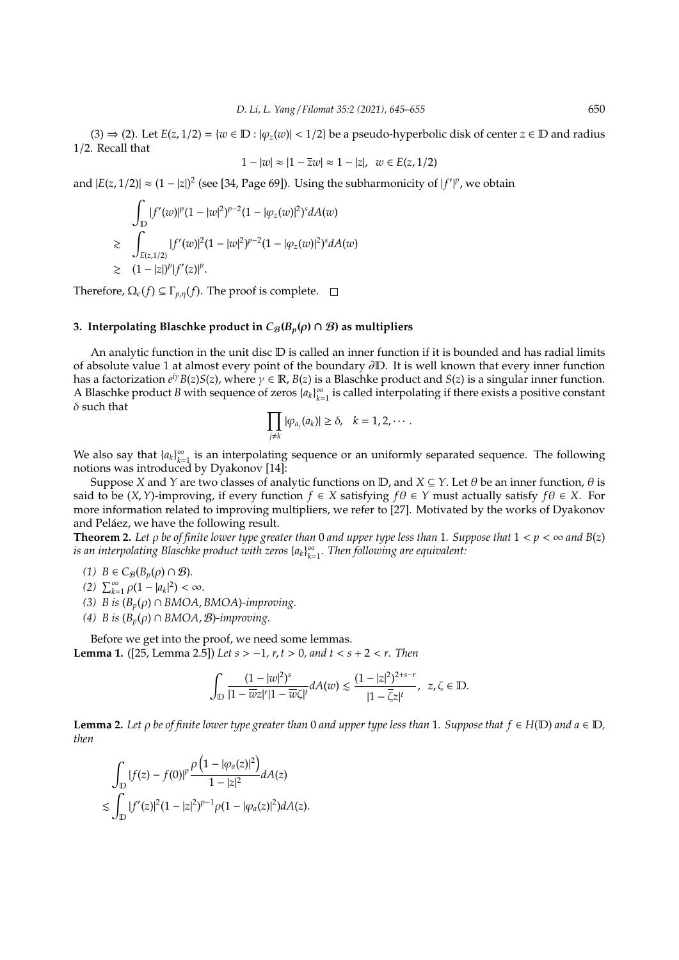$(3) \Rightarrow (2)$ . Let  $E(z, 1/2) = \{w \in \mathbb{D} : |\varphi_{z}(w)| < 1/2\}$  be a pseudo-hyperbolic disk of center  $z \in \mathbb{D}$  and radius 1/2. Recall that

$$
1 - |w| \approx |1 - \overline{z}w| \approx 1 - |z|, \ w \in E(z, 1/2)
$$

and  $|E(z, 1/2)| \approx (1 - |z|)^2$  (see [34, Page 69]). Using the subharmonicity of  $|f'|^p$ , we obtain

$$
\int_{\mathbb{D}} |f'(w)|^{p} (1 - |w|^{2})^{p-2} (1 - |\varphi_{z}(w)|^{2})^{s} dA(w)
$$
\n
$$
\geq \int_{E(z,1/2)} |f'(w)|^{2} (1 - |w|^{2})^{p-2} (1 - |\varphi_{z}(w)|^{2})^{s} dA(w)
$$
\n
$$
\geq (1 - |z|)^{p} |f'(z)|^{p}.
$$

Therefore,  $\Omega_{\epsilon}(f) \subseteq \Gamma_{p,\eta}(f)$ . The proof is complete.  $\square$ 

#### **3. Interpolating Blaschke product in**  $C_{\mathcal{B}}(B_p(\rho) \cap \mathcal{B})$  as multipliers

An analytic function in the unit disc D is called an inner function if it is bounded and has radial limits of absolute value 1 at almost every point of the boundary ∂D. It is well known that every inner function has a factorization  $e^{iy}B(z)S(z)$ , where  $\gamma \in \mathbb{R}$ ,  $B(z)$  is a Blaschke product and  $S(z)$  is a singular inner function. A Blaschke product *B* with sequence of zeros  $\{a_k\}_{k=1}^{\infty}$  $\sum\limits_{k=1}^{\infty}$  is called interpolating if there exists a positive constant  $\delta$  such that

$$
\prod_{j\neq k} |\varphi_{a_j}(a_k)| \geq \delta, \quad k=1,2,\cdots.
$$

We also say that  ${a_k}_{k=1}^{\infty}$  $\sum_{k=1}^{\infty}$  is an interpolating sequence or an uniformly separated sequence. The following notions was introduced by Dyakonov [14]:

Suppose *X* and *Y* are two classes of analytic functions on  $\mathbb{D}$ , and  $X \subseteq Y$ . Let  $\theta$  be an inner function,  $\theta$  is said to be  $(X, Y)$ -improving, if every function  $f \in X$  satisfying  $f\theta \in Y$  must actually satisfy  $f\theta \in X$ . For more information related to improving multipliers, we refer to [27]. Motivated by the works of Dyakonov and Peláez, we have the following result.

**Theorem 2.** Let  $\rho$  be of finite lower type greater than 0 and upper type less than 1. Suppose that  $1 < p < \infty$  and  $B(z)$ *is an interpolating Blaschke product with zeros* {*ak*} ∞ *k*=1 *. Then following are equivalent:*

*(1) B* ∈  $C_{\mathcal{B}}(B_p(\rho) \cap \mathcal{B})$ *.* 

 $(2)$   $\sum_{k=1}^{\infty} \rho(1 - |a_k|^2) < \infty$ .

- *(3) B is*  $(B_p(\rho) \cap BMOA, BMOA)$ *-improving.*
- *(4) B is* (*Bp*(ρ) ∩ *BMOA*, B)*-improving.*

Before we get into the proof, we need some lemmas. **Lemma 1.** ([25, Lemma 2.5]) *Let s* > −1*, r*, *t* > 0*, and t* < *s* + 2 < *r. Then*

$$
\int_{\mathbb{D}}\frac{(1-|w|^2)^s}{|1-\overline{w}z|^r|1-\overline{w}\zeta|^t}dA(w)\lesssim \frac{(1-|z|^2)^{2+s-r}}{|1-\overline{\zeta}z|^t},\ \ z,\zeta\in \mathbb{D}.
$$

**Lemma 2.** Let  $\rho$  be of finite lower type greater than 0 and upper type less than 1. Suppose that  $f \in H(\mathbb{D})$  and  $a \in \mathbb{D}$ , *then*

$$
\int_{\mathbb{D}} |f(z) - f(0)|^p \frac{\rho \left( 1 - |\varphi_a(z)|^2 \right)}{1 - |z|^2} dA(z)
$$
  
\$\leq \int\_{\mathbb{D}} |f'(z)|^2 (1 - |z|^2)^{p-1} \rho (1 - |\varphi\_a(z)|^2) dA(z).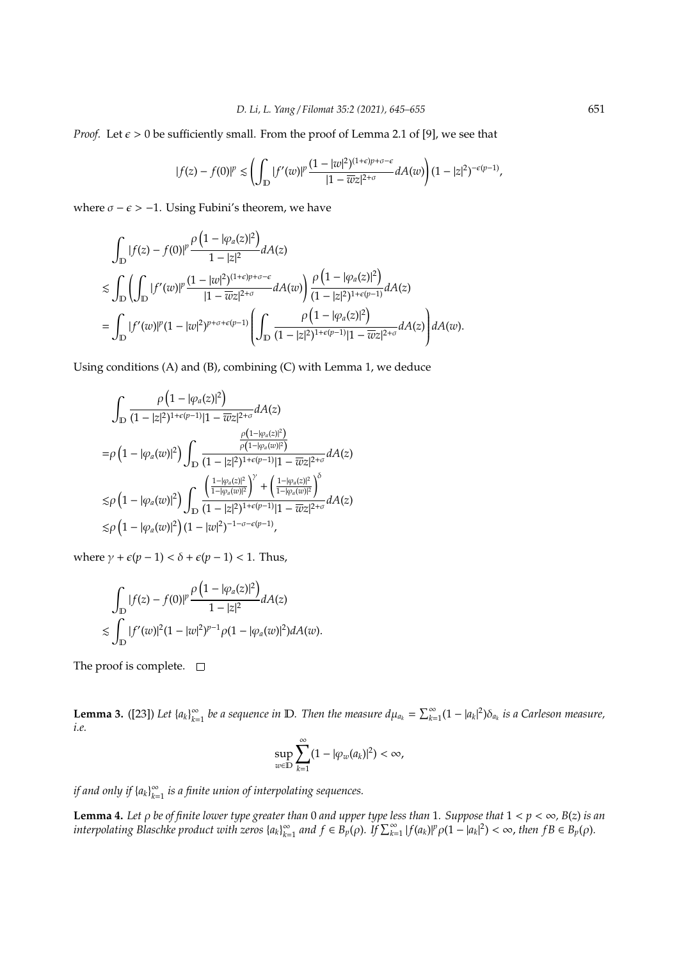*Proof.* Let  $\epsilon > 0$  be sufficiently small. From the proof of Lemma 2.1 of [9], we see that

$$
|f(z)-f(0)|^p\lesssim \left(\int_{\mathbb{D}}|f'(w)|^p\frac{(1-|w|^2)^{(1+\epsilon)p+\sigma-\epsilon}}{|1-\overline{w}z|^{2+\sigma}}dA(w)\right)(1-|z|^2)^{-\epsilon(p-1)},
$$

where  $\sigma - \epsilon > -1$ . Using Fubini's theorem, we have

$$
\int_{\mathbb{D}} |f(z) - f(0)|^{p} \frac{\rho(1 - |\varphi_{a}(z)|^{2})}{1 - |z|^{2}} dA(z)
$$
\n
$$
\lesssim \int_{\mathbb{D}} \left( \int_{\mathbb{D}} |f'(w)|^{p} \frac{(1 - |w|^{2})^{(1 + \epsilon)p + \sigma - \epsilon}}{|1 - \overline{w}z|^{2 + \sigma}} dA(w) \right) \frac{\rho(1 - |\varphi_{a}(z)|^{2})}{(1 - |z|^{2})^{1 + \epsilon(p - 1)}} dA(z)
$$
\n
$$
= \int_{\mathbb{D}} |f'(w)|^{p} (1 - |w|^{2})^{p + \sigma + \epsilon(p - 1)} \left( \int_{\mathbb{D}} \frac{\rho(1 - |\varphi_{a}(z)|^{2})}{(1 - |z|^{2})^{1 + \epsilon(p - 1)} |1 - \overline{w}z|^{2 + \sigma}} dA(z) \right) dA(w).
$$

Using conditions (A) and (B), combining (C) with Lemma 1, we deduce

$$
\int_{\mathbb{D}}\frac{\rho\left(1-|\varphi_{a}(z)|^{2}\right)}{(1-|z|^{2})^{1+\epsilon(p-1)}|1-\overline{w}z|^{2+\sigma}}dA(z)\\=\rho\left(1-|\varphi_{a}(w)|^{2}\right)\int_{\mathbb{D}}\frac{\frac{\rho(1-|\varphi_{a}(z)|^{2})}{(1-|z|^{2})^{1+\epsilon(p-1)}|1-\overline{w}z|^{2+\sigma}}dA(z)\\ \lesssim\rho\left(1-|\varphi_{a}(w)|^{2}\right)\int_{\mathbb{D}}\frac{\left(\frac{1-|\varphi_{a}(z)|^{2}}{1-|\varphi_{a}(w)|^{2}}\right)^{\gamma}+\left(\frac{1-|\varphi_{a}(z)|^{2}}{1-|\varphi_{a}(w)|^{2}}\right)^{\delta}}{ (1-|z|^{2})^{1+\epsilon(p-1)}|1-\overline{w}z|^{2+\sigma}}dA(z)\\ \lesssim\rho\left(1-|\varphi_{a}(w)|^{2}\right)(1-|w|^{2})^{-1-\sigma-\epsilon(p-1)},
$$

where  $\gamma + \epsilon (p - 1) < \delta + \epsilon (p - 1) < 1$ . Thus,

$$
\int_{\mathbb{D}} |f(z) - f(0)|^p \frac{\rho (1 - |\varphi_a(z)|^2)}{1 - |z|^2} dA(z)
$$
  

$$
\lesssim \int_{\mathbb{D}} |f'(w)|^2 (1 - |w|^2)^{p-1} \rho (1 - |\varphi_a(w)|^2) dA(w).
$$

The proof is complete.  $\square$ 

**Lemma 3.** ([23]) *Let*  $\{a_k\}_{k=1}^{\infty}$  $\sum_{k=1}^{\infty}$  be a sequence in D. Then the measure  $d\mu_{a_k} = \sum_{k=1}^{\infty} (1 - |a_k|^2) \delta_{a_k}$  is a Carleson measure, *i.e.*

$$
\sup_{w\in\mathbb{D}}\sum_{k=1}^{\infty}(1-|\varphi_w(a_k)|^2)<\infty,
$$

*if and only if*  $\{a_k\}_{k=1}^{\infty}$ *k*=1 *is a finite union of interpolating sequences.*

**Lemma 4.** *Let* ρ *be of finite lower type greater than* 0 *and upper type less than* 1*. Suppose that* 1 < *p* < ∞*, B*(*z*) *is an interpolating Blaschke product with zeros* {*ak*} ∞  $\sum_{k=1}^{\infty}$  *and*  $f \in B_p(\rho)$ *.* If  $\sum_{k=1}^{\infty} |f(a_k)|^p \rho(1 - |a_k|^2) < \infty$ *, then*  $fB \in B_p(\rho)$ *.*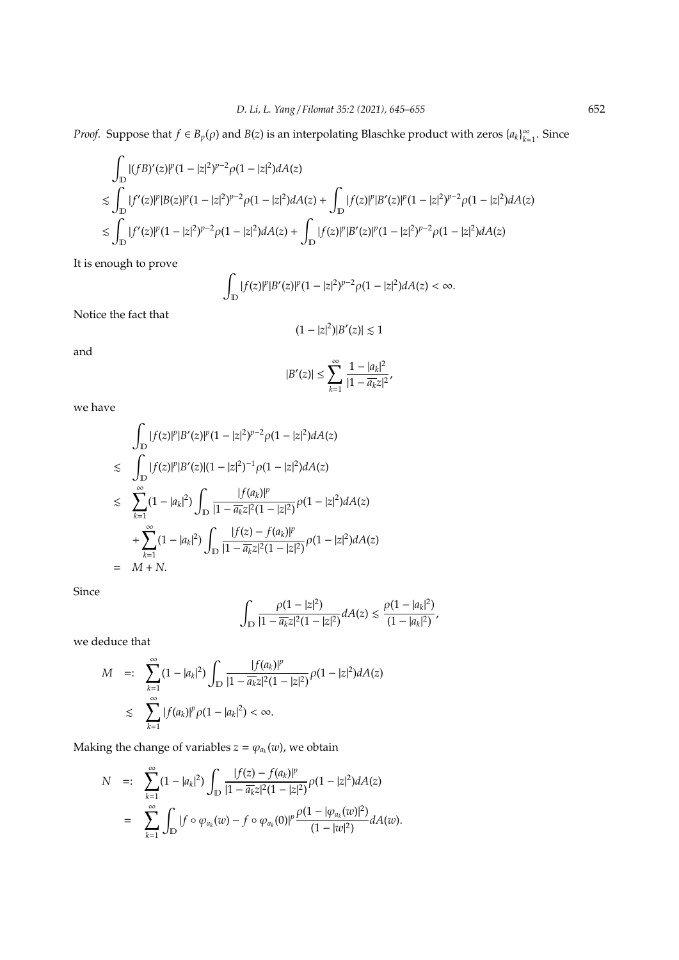*Proof.* Suppose that  $f \in B_p(\rho)$  and  $B(z)$  is an interpolating Blaschke product with zeros  $\{a_k\}_{k=1}^{\infty}$  $\sum_{k=1}^{\infty}$ . Since

$$
\begin{aligned} &\int_{\mathbb{D}} |(fB)'(z)|^{p} (1-|z|^{2})^{p-2} \rho(1-|z|^{2}) dA(z) \\ &\lesssim \int_{\mathbb{D}} |f'(z)|^{p} |B(z)|^{p} (1-|z|^{2})^{p-2} \rho(1-|z|^{2}) dA(z) + \int_{\mathbb{D}} |f(z)|^{p} |B'(z)|^{p} (1-|z|^{2})^{p-2} \rho(1-|z|^{2}) dA(z) \\ &\lesssim \int_{\mathbb{D}} |f'(z)|^{p} (1-|z|^{2})^{p-2} \rho(1-|z|^{2}) dA(z) + \int_{\mathbb{D}} |f(z)|^{p} |B'(z)|^{p} (1-|z|^{2})^{p-2} \rho(1-|z|^{2}) dA(z) \end{aligned}
$$

It is enough to prove

$$
\int_{\mathbb{D}}|f(z)|^p|B'(z)|^p(1-|z|^2)^{p-2}\rho(1-|z|^2)dA(z)<\infty.
$$

Notice the fact that

$$
(1-|z|^2)|B'(z)|\lesssim 1
$$

and

$$
|B'(z)| \leq \sum_{k=1}^{\infty} \frac{1-|a_k|^2}{|1-\overline{a_k}z|^2},
$$

we have

$$
\int_{\mathbb{D}} |f(z)|^p |B'(z)|^p (1 - |z|^2)^{p-2} \rho (1 - |z|^2) dA(z)
$$
\n
$$
\leq \int_{\mathbb{D}} |f(z)|^p |B'(z)| (1 - |z|^2)^{-1} \rho (1 - |z|^2) dA(z)
$$
\n
$$
\leq \sum_{k=1}^{\infty} (1 - |a_k|^2) \int_{\mathbb{D}} \frac{|f(a_k)|^p}{|1 - \overline{a_k} z|^2 (1 - |z|^2)} \rho (1 - |z|^2) dA(z)
$$
\n
$$
+ \sum_{k=1}^{\infty} (1 - |a_k|^2) \int_{\mathbb{D}} \frac{|f(z) - f(a_k)|^p}{|1 - \overline{a_k} z|^2 (1 - |z|^2)} \rho (1 - |z|^2) dA(z)
$$
\n
$$
= M + N.
$$

Since

$$
\int_{\mathbb{D}}\frac{\rho(1-|z|^2)}{|1-\overline{a_k}z|^2(1-|z|^2)}dA(z)\lesssim \frac{\rho(1-|a_k|^2)}{(1-|a_k|^2)},
$$

we deduce that

$$
M =: \sum_{k=1}^{\infty} (1 - |a_k|^2) \int_{\mathbb{D}} \frac{|f(a_k)|^p}{|1 - \overline{a_k}z|^2(1 - |z|^2)} \rho(1 - |z|^2) dA(z)
$$
  

$$
\leq \sum_{k=1}^{\infty} |f(a_k)|^p \rho(1 - |a_k|^2) < \infty.
$$

Making the change of variables  $z = \varphi_{a_k}(w)$ , we obtain

$$
N =: \sum_{k=1}^{\infty} (1 - |a_k|^2) \int_{\mathbb{D}} \frac{|f(z) - f(a_k)|^p}{|1 - \overline{a_k}z|^2 (1 - |z|^2)} \rho(1 - |z|^2) dA(z)
$$
  
= 
$$
\sum_{k=1}^{\infty} \int_{\mathbb{D}} |f \circ \varphi_{a_k}(w) - f \circ \varphi_{a_k}(0)|^p \frac{\rho(1 - |\varphi_{a_k}(w)|^2)}{(1 - |w|^2)} dA(w).
$$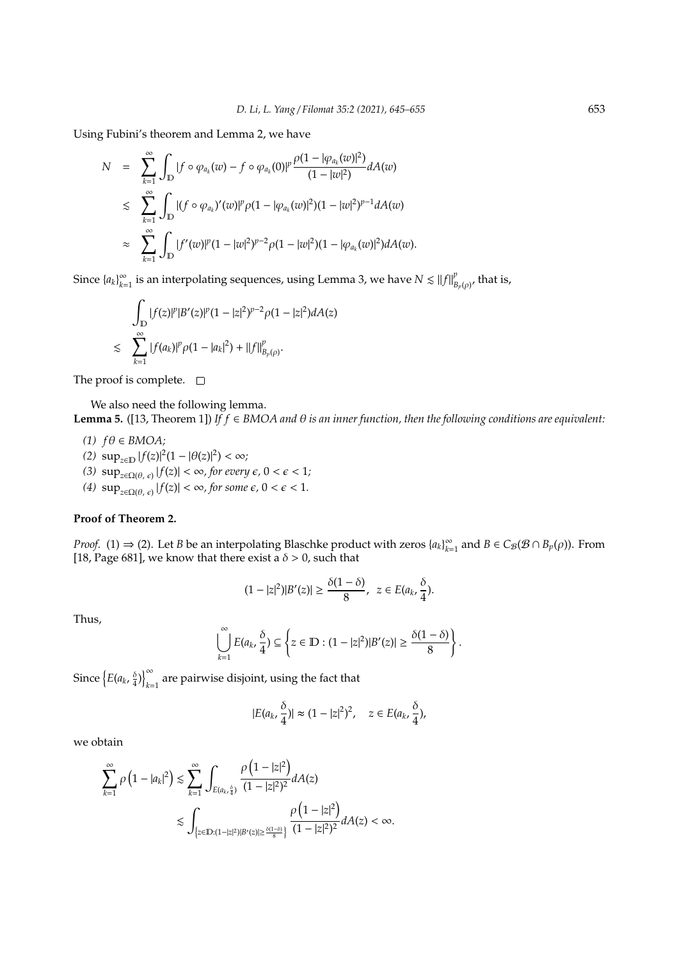Using Fubini's theorem and Lemma 2, we have

$$
N = \sum_{k=1}^{\infty} \int_{\mathbb{D}} |f \circ \varphi_{a_k}(w) - f \circ \varphi_{a_k}(0)|^p \frac{\rho(1 - |\varphi_{a_k}(w)|^2)}{(1 - |w|^2)} dA(w)
$$
  

$$
\leq \sum_{k=1}^{\infty} \int_{\mathbb{D}} |(f \circ \varphi_{a_k})'(w)|^p \rho(1 - |\varphi_{a_k}(w)|^2)(1 - |w|^2)^{p-1} dA(w)
$$
  

$$
\approx \sum_{k=1}^{\infty} \int_{\mathbb{D}} |f'(w)|^p (1 - |w|^2)^{p-2} \rho(1 - |w|^2)(1 - |\varphi_{a_k}(w)|^2) dA(w).
$$

Since  $\{a_k\}_{k=1}^{\infty}$  $\sum_{k=1}^{\infty}$  is an interpolating sequences, using Lemma 3, we have  $N \lesssim \|f\|_E^p$  $B_{p}(\rho)$ , that is,

$$
\int_{\mathbb{D}} |f(z)|^p |B'(z)|^p (1 - |z|^2)^{p-2} \rho (1 - |z|^2) dA(z)
$$
  

$$
\lesssim \sum_{k=1}^{\infty} |f(a_k)|^p \rho (1 - |a_k|^2) + ||f||_{B_p(\rho)}^p.
$$

The proof is complete.  $\square$ 

We also need the following lemma.

**Lemma 5.** ([13, Theorem 1]) *If f* ∈ *BMOA and* θ *is an inner function, then the following conditions are equivalent:*

 $(1)$   $fθ ∈ BMOA;$ 

- (2)  $\sup_{z \in \mathbb{D}} |f(z)|^2 (1 |\theta(z)|^2) < \infty;$
- *(3)*  $\sup_{z \in \Omega(\theta, \epsilon)} |f(z)| < \infty$ , for every  $\epsilon$ ,  $0 < \epsilon < 1$ ;
- *(4)*  $\sup_{z \in \Omega(\theta, \epsilon)} |f(z)| < \infty$ , for some  $\epsilon$ ,  $0 < \epsilon < 1$ .

# **Proof of Theorem 2.**

*Proof.* (1)  $\Rightarrow$  (2). Let *B* be an interpolating Blaschke product with zeros  $\{a_k\}_{k=1}^{\infty}$  $\sum_{k=1}^{\infty}$  and  $B \in C_{\mathcal{B}}(\mathcal{B} \cap B_{p}(\rho)).$  From [18, Page 681], we know that there exist a  $\delta > 0$ , such that

$$
(1-|z|^2)|B'(z)|\geq \frac{\delta(1-\delta)}{8},\ z\in E(a_k,\frac{\delta}{4}).
$$

Thus,

$$
\bigcup_{k=1}^{\infty} E(a_k,\frac{\delta}{4}) \subseteq \left\{z \in \mathbb{D}: (1-|z|^2)|B'(z)| \geq \frac{\delta(1-\delta)}{8}\right\}.
$$

Since  $\left\{E(a_k, \frac{\delta}{4})\right\}_{k=1}^{\infty}$  $_{k=1}$  are pairwise disjoint, using the fact that

$$
|E(a_k, \frac{\delta}{4})| \approx (1-|z|^2)^2, \quad z \in E(a_k, \frac{\delta}{4}),
$$

we obtain

$$
\begin{split} \sum_{k=1}^{\infty}\rho\left(1-|a_k|^2\right) &\lesssim \sum_{k=1}^{\infty}\int_{E(a_k\frac{\delta}{4})}\frac{\rho\left(1-|z|^2\right)}{(1-|z|^2)^2}dA(z)\\ &\lesssim \int_{\left\{z\in \mathbb{D}:\left(1-|z|^2\right)|B'(z)|\ge \frac{\delta(1-\delta)}{8}\right\}}\frac{\rho\left(1-|z|^2\right)}{(1-|z|^2)^2}dA(z) < \infty. \end{split}
$$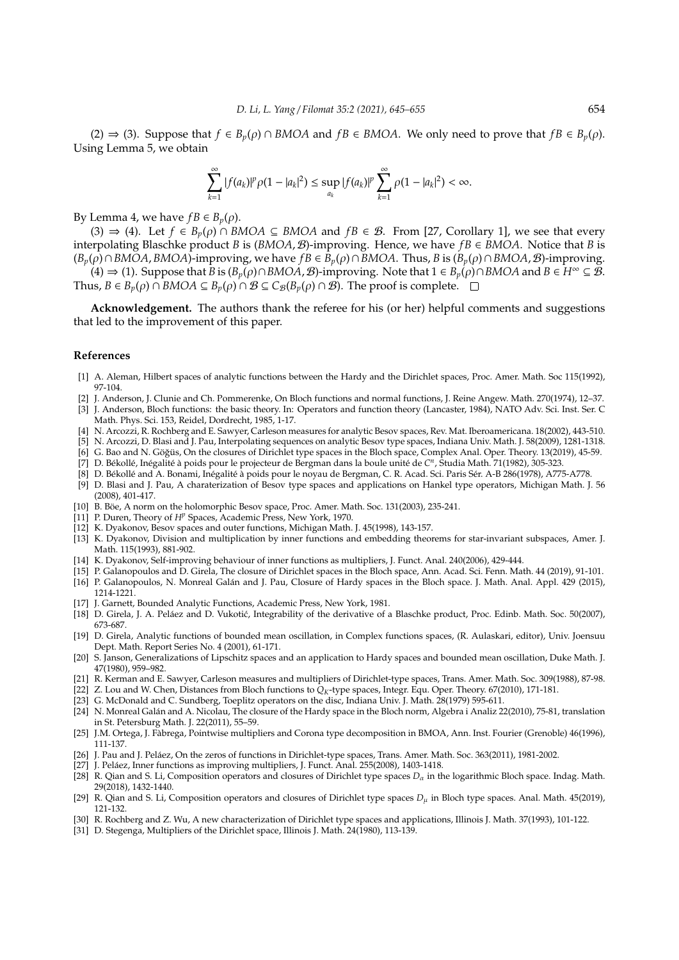(2) ⇒ (3). Suppose that  $f \in B_n(\rho) \cap BMOA$  and  $fB \in BMOA$ . We only need to prove that  $fB \in B_n(\rho)$ . Using Lemma 5, we obtain

$$
\sum_{k=1}^{\infty} |f(a_k)|^p \rho(1-|a_k|^2) \leq \sup_{a_k} |f(a_k)|^p \sum_{k=1}^{\infty} \rho(1-|a_k|^2) < \infty.
$$

By Lemma 4, we have  $fB \in B_p(\rho)$ .

(3)  $\Rightarrow$  (4). Let *f* ∈ *B<sub>p</sub>*( $\rho$ ) ∩ *BMOA* ⊆ *BMOA* and *fB* ∈ *B*. From [27, Corollary 1], we see that every interpolating Blaschke product *B* is  $(BMOA, B)$ -improving. Hence, we have  $fB \in BMOA$ . Notice that *B* is (*Bp*(ρ)∩*BMOA*, *BMOA*)-improving, we have *f B* ∈ *Bp*(ρ)∩*BMOA*. Thus, *B* is (*Bp*(ρ)∩*BMOA*, B)-improving.

(4) ⇒ (1). Suppose that *B* is (*Bp*(ρ)∩*BMOA*, B)-improving. Note that 1 ∈ *Bp*(ρ)∩*BMOA* and *B* ∈ *H*<sup>∞</sup> ⊆ B. Thus, *B* ∈ *B*<sub>*p*</sub>( $\rho$ ) ∩ *BMOA* ⊆ *B*<sub>*p*</sub>( $\rho$ ) ∩ *B* ⊆ *C<sub><i>B*</sub>( $B$ <sub>*p*</sub>( $\rho$ ) ∩ *B*). The proof is complete. □

**Acknowledgement.** The authors thank the referee for his (or her) helpful comments and suggestions that led to the improvement of this paper.

#### **References**

- [1] A. Aleman, Hilbert spaces of analytic functions between the Hardy and the Dirichlet spaces, Proc. Amer. Math. Soc 115(1992), 97-104.
- [2] J. Anderson, J. Clunie and Ch. Pommerenke, On Bloch functions and normal functions, J. Reine Angew. Math. 270(1974), 12–37. [3] J. Anderson, Bloch functions: the basic theory. In: Operators and function theory (Lancaster, 1984), NATO Adv. Sci. Inst. Ser. C Math. Phys. Sci. 153, Reidel, Dordrecht, 1985, 1-17.
- [4] N. Arcozzi, R. Rochberg and E. Sawyer, Carleson measures for analytic Besov spaces, Rev. Mat. Iberoamericana. 18(2002), 443-510.
- [5] N. Arcozzi, D. Blasi and J. Pau, Interpolating sequences on analytic Besov type spaces, Indiana Univ. Math. J. 58(2009), 1281-1318.
- [6] G. Bao and N. Göğüs, On the closures of Dirichlet type spaces in the Bloch space, Complex Anal. Oper. Theory. 13(2019), 45-59.
- [7] D. Békollé, Inégalité à poids pour le projecteur de Bergman dans la boule unité de C<sup>n</sup>, Studia Math. 71(1982), 305-323.
- [8] D. Békollé and A. Bonami, Inégalité à poids pour le noyau de Bergman, C. R. Acad. Sci. Paris Sér. A-B 286(1978), A775-A778.
- [9] D. Blasi and J. Pau, A charaterization of Besov type spaces and applications on Hankel type operators, Michigan Math. J. 56 (2008), 401-417.
- [10] B. Böe, A norm on the holomorphic Besov space, Proc. Amer. Math. Soc. 131(2003), 235-241.
- [11] P. Duren, Theory of *H<sup>p</sup>* Spaces, Academic Press, New York, 1970.
- [12] K. Dyakonov, Besov spaces and outer functions, Michigan Math. J. 45(1998), 143-157.
- [13] K. Dyakonov, Division and multiplication by inner functions and embedding theorems for star-invariant subspaces, Amer. J. Math. 115(1993), 881-902.
- [14] K. Dyakonov, Self-improving behaviour of inner functions as multipliers, J. Funct. Anal. 240(2006), 429-444.
- [15] P. Galanopoulos and D. Girela, The closure of Dirichlet spaces in the Bloch space, Ann. Acad. Sci. Fenn. Math. 44 (2019), 91-101. [16] P. Galanopoulos, N. Monreal Galán and J. Pau, Closure of Hardy spaces in the Bloch space. J. Math. Anal. Appl. 429 (2015), 1214-1221.
- [17] J. Garnett, Bounded Analytic Functions, Academic Press, New York, 1981.
- [18] D. Girela, J. A. Peláez and D. Vukotić, Integrability of the derivative of a Blaschke product, Proc. Edinb. Math. Soc. 50(2007), 673-687.
- [19] D. Girela, Analytic functions of bounded mean oscillation, in Complex functions spaces, (R. Aulaskari, editor), Univ. Joensuu Dept. Math. Report Series No. 4 (2001), 61-171.
- [20] S. Janson, Generalizations of Lipschitz spaces and an application to Hardy spaces and bounded mean oscillation, Duke Math. J. 47(1980), 959–982.
- [21] R. Kerman and E. Sawyer, Carleson measures and multipliers of Dirichlet-type spaces, Trans. Amer. Math. Soc. 309(1988), 87-98.
- [22] Z. Lou and W. Chen, Distances from Bloch functions to *QK*-type spaces, Integr. Equ. Oper. Theory. 67(2010), 171-181.
- [23] G. McDonald and C. Sundberg, Toeplitz operators on the disc, Indiana Univ. J. Math. 28(1979) 595-611.
- [24] N. Monreal Galan and A. Nicolau, The closure of the Hardy space in the Bloch norm, Algebra i Analiz 22(2010), 75-81, translation ´ in St. Petersburg Math. J. 22(2011), 55–59.
- [25] J.M. Ortega, J. Fabrega, Pointwise multipliers and Corona type decomposition in BMOA, Ann. Inst. Fourier (Grenoble) 46(1996), 111-137.
- [26] J. Pau and J. Peláez, On the zeros of functions in Dirichlet-type spaces, Trans. Amer. Math. Soc. 363(2011), 1981-2002.
- [27] J. Peláez, Inner functions as improving multipliers, J. Funct. Anal. 255(2008), 1403-1418.
- [28] R. Qian and S. Li, Composition operators and closures of Dirichlet type spaces *D*<sup>α</sup> in the logarithmic Bloch space. Indag. Math. 29(2018), 1432-1440.
- [29] R. Qian and S. Li, Composition operators and closures of Dirichlet type spaces *D*<sup>µ</sup> in Bloch type spaces. Anal. Math. 45(2019), 121-132.
- [30] R. Rochberg and Z. Wu, A new characterization of Dirichlet type spaces and applications, Illinois J. Math. 37(1993), 101-122.
- [31] D. Stegenga, Multipliers of the Dirichlet space, Illinois J. Math. 24(1980), 113-139.